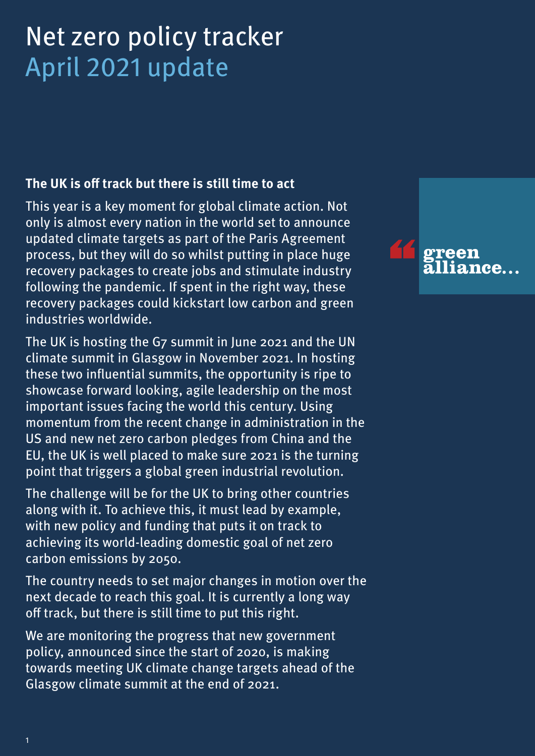# Net zero policy tracker April 2021 update

## **The UK is off track but there is still time to act**

This year is a key moment for global climate action. Not only is almost every nation in the world set to announce updated climate targets as part of the Paris Agreement process, but they will do so whilst putting in place huge recovery packages to create jobs and stimulate industry following the pandemic. If spent in the right way, these recovery packages could kickstart low carbon and green industries worldwide.

The UK is hosting the G7 summit in June 2021 and the UN climate summit in Glasgow in November 2021. In hosting these two influential summits, the opportunity is ripe to showcase forward looking, agile leadership on the most important issues facing the world this century. Using momentum from the recent change in administration in the US and new net zero carbon pledges from China and the EU, the UK is well placed to make sure 2021 is the turning point that triggers a global green industrial revolution.

The challenge will be for the UK to bring other countries along with it. To achieve this, it must lead by example, with new policy and funding that puts it on track to achieving its world-leading domestic goal of net zero carbon emissions by 2050.

The country needs to set major changes in motion over the next decade to reach this goal. It is currently a long way off track, but there is still time to put this right.

We are monitoring the progress that new government policy, announced since the start of 2020, is making towards meeting UK climate change targets ahead of the Glasgow climate summit at the end of 2021.

mee.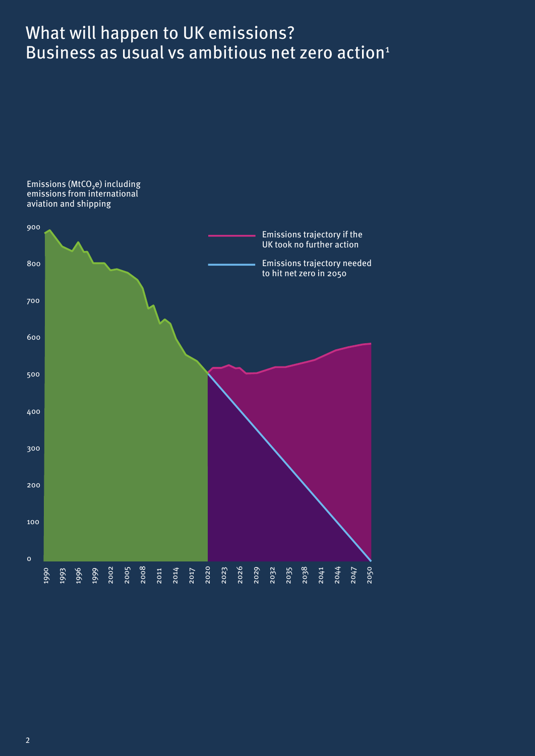# What will happen to UK emissions? Business as usual vs ambitious net zero action<sup>1</sup>

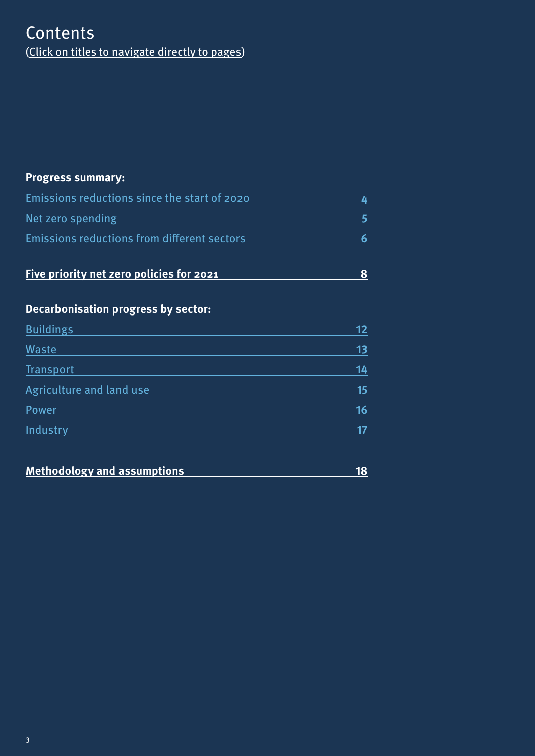## **Contents** (Click on titles to navigate directly to pages)

## **Progress summary:**

| Emissions reductions since the start of 2020       |  |  |
|----------------------------------------------------|--|--|
| Net zero spending                                  |  |  |
| <b>Emissions reductions from different sectors</b> |  |  |

|  | Five priority net zero policies for 2021 |
|--|------------------------------------------|
|--|------------------------------------------|

## **Decarbonisation progress by sector:**

| <b>Buildings</b>         | 12 |
|--------------------------|----|
| Waste                    | 13 |
| Transport                | 14 |
| Agriculture and land use | 15 |
| Power                    | 16 |
| Industry                 | 17 |

| <b>Methodology and assumptions</b> |  |
|------------------------------------|--|
|                                    |  |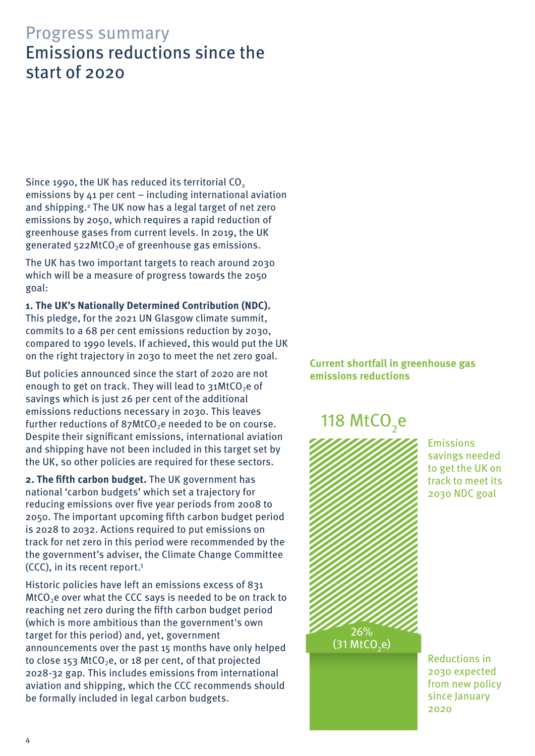# <span id="page-3-0"></span>Progress summary Emissions reductions since the start of 2020

Since 1990, the UK has reduced its territorial CO<sub>2</sub> emissions by 41 per cent – including international aviation and shipping.2 The UK now has a legal target of net zero emissions by 2050, which requires a rapid reduction of greenhouse gases from current levels. In 2019, the UK generated  $522$ MtCO<sub>2</sub>e of greenhouse gas emissions.

The UK has two important targets to reach around 2030 which will be a measure of progress towards the 2050 goal:

**1. The UK's Nationally Determined Contribution (NDC).**  This pledge, for the 2021 UN Glasgow climate summit, commits to a 68 per cent emissions reduction by 2030, compared to 1990 levels. If achieved, this would put the UK on the right trajectory in 2030 to meet the net zero goal.

But policies announced since the start of 2020 are not enough to get on track. They will lead to  $31$ MtCO<sub>2</sub>e of savings which is just 26 per cent of the additional emissions reductions necessary in 2030. This leaves further reductions of  $87$ MtCO<sub>2</sub>e needed to be on course. Despite their significant emissions, international aviation and shipping have not been included in this target set by the UK, so other policies are required for these sectors.

**2. The fifth carbon budget.** The UK government has national 'carbon budgets' which set a trajectory for reducing emissions over five year periods from 2008 to 2050. The important upcoming fifth carbon budget period is 2028 to 2032. Actions required to put emissions on track for net zero in this period were recommended by the the government's adviser, the Climate Change Committee (CCC), in its recent report.3

Historic policies have left an emissions excess of 831  $MtCO<sub>2</sub>e$  over what the CCC says is needed to be on track to reaching net zero during the fifth carbon budget period (which is more ambitious than the government's own target for this period) and, yet, government announcements over the past 15 months have only helped to close 153 MtCO<sub>2</sub>e, or 18 per cent, of that projected 2028-32 gap. This includes emissions from international aviation and shipping, which the CCC recommends should be formally included in legal carbon budgets.

## **Current shortfall in greenhouse gas emissions reductions**

# 118 MtCO<sub>2</sub>e



Emissions savings needed to get the UK on track to meet its 2030 NDC goal

Reductions in 2030 expected from new policy since January 2020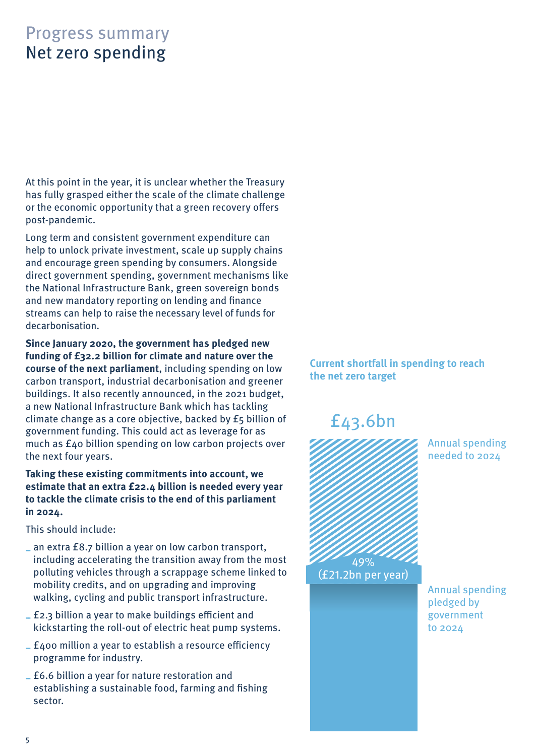# <span id="page-4-0"></span>Progress summary Net zero spending

At this point in the year, it is unclear whether the Treasury has fully grasped either the scale of the climate challenge or the economic opportunity that a green recovery offers post-pandemic.

Long term and consistent government expenditure can help to unlock private investment, scale up supply chains and encourage green spending by consumers. Alongside direct government spending, government mechanisms like the National Infrastructure Bank, green sovereign bonds and new mandatory reporting on lending and finance streams can help to raise the necessary level of funds for decarbonisation.

**Since January 2020, the government has pledged new funding of £32.2 billion for climate and nature over the course of the next parliament**, including spending on low carbon transport, industrial decarbonisation and greener buildings. It also recently announced, in the 2021 budget, a new National Infrastructure Bank which has tackling climate change as a core objective, backed by £5 billion of government funding. This could act as leverage for as much as £40 billion spending on low carbon projects over the next four years.

**Taking these existing commitments into account, we estimate that an extra £22.4 billion is needed every year to tackle the climate crisis to the end of this parliament in 2024.** 

This should include:

- **--** an extra £8.7 billion a year on low carbon transport, including accelerating the transition away from the most polluting vehicles through a scrappage scheme linked to mobility credits, and on upgrading and improving walking, cycling and public transport infrastructure.
- **--** £2.3 billion a year to make buildings efficient and kickstarting the roll-out of electric heat pump systems.
- **--** £400 million a year to establish a resource efficiency programme for industry.
- **--** £6.6 billion a year for nature restoration and establishing a sustainable food, farming and fishing sector.

## **Current shortfall in spending to reach the net zero target**

# £43.6bn



Annual spending needed to 2024

Annual spending pledged by government to 2024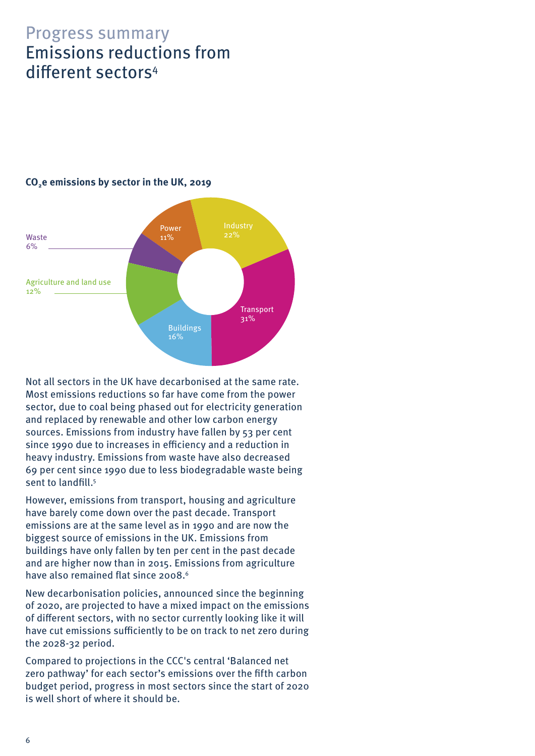# <span id="page-5-0"></span>Progress summary Emissions reductions from different sectors<sup>4</sup>



## **CO2e emissions by sector in the UK, 2019**

Not all sectors in the UK have decarbonised at the same rate. Most emissions reductions so far have come from the power sector, due to coal being phased out for electricity generation and replaced by renewable and other low carbon energy sources. Emissions from industry have fallen by 53 per cent since 1990 due to increases in efficiency and a reduction in heavy industry. Emissions from waste have also decreased 69 per cent since 1990 due to less biodegradable waste being sent to landfill.<sup>5</sup>

However, emissions from transport, housing and agriculture have barely come down over the past decade. Transport emissions are at the same level as in 1990 and are now the biggest source of emissions in the UK. Emissions from buildings have only fallen by ten per cent in the past decade and are higher now than in 2015. Emissions from agriculture have also remained flat since 2008.<sup>6</sup>

New decarbonisation policies, announced since the beginning of 2020, are projected to have a mixed impact on the emissions of different sectors, with no sector currently looking like it will have cut emissions sufficiently to be on track to net zero during the 2028-32 period.

Compared to projections in the CCC's central 'Balanced net zero pathway' for each sector's emissions over the fifth carbon budget period, progress in most sectors since the start of 2020 is well short of where it should be.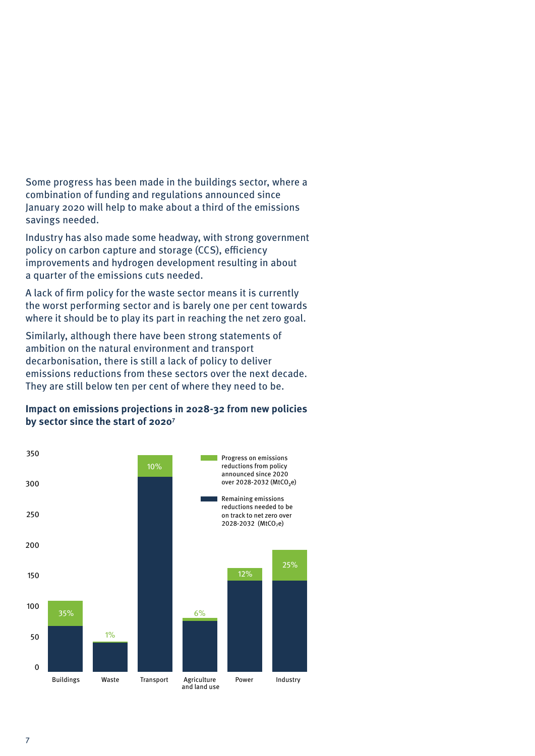### Some progress has been made in the buildings sector, where a combination of funding and regulations announced since January 2020 will help to make about a third of the emissions savings needed.

Industry has also made some headway, with strong government policy on carbon capture and storage (CCS), efficiency improvements and hydrogen development resulting in about a quarter of the emissions cuts needed.

A lack of firm policy for the waste sector means it is currently the worst performing sector and is barely one per cent towards where it should be to play its part in reaching the net zero goal.

Similarly, although there have been strong statements of ambition on the natural environment and transport decarbonisation, there is still a lack of policy to deliver emissions reductions from these sectors over the next decade. They are still below ten per cent of where they need to be.

### **Impact on emissions projections in 2028-32 from new policies by sector since the start of 20207**

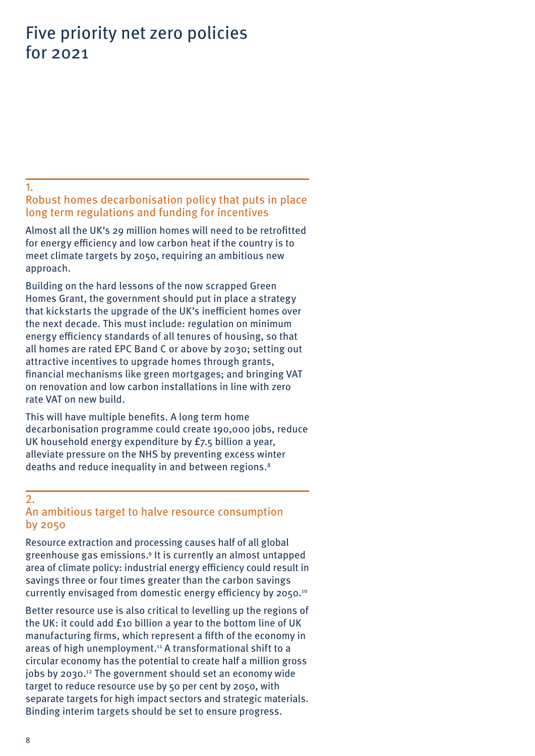# <span id="page-7-0"></span>Five priority net zero policies for 2021

#### <span id="page-7-1"></span>1.

## Robust homes decarbonisation policy that puts in place long term regulations and funding for incentives

Almost all the UK's 29 million homes will need to be retrofitted for energy efficiency and low carbon heat if the country is to meet climate targets by 2050, requiring an ambitious new approach.

Building on the hard lessons of the now scrapped Green Homes Grant, the government should put in place a strategy that kickstarts the upgrade of the UK's inefficient homes over the next decade. This must include: regulation on minimum energy efficiency standards of all tenures of housing, so that all homes are rated EPC Band C or above by 2030; setting out attractive incentives to upgrade homes through grants, financial mechanisms like green mortgages; and bringing VAT on renovation and low carbon installations in line with zero rate VAT on new build.

This will have multiple benefits. A long term home decarbonisation programme could create 190,000 jobs, reduce UK household energy expenditure by £7.5 billion a year, alleviate pressure on the NHS by preventing excess winter deaths and reduce inequality in and between regions.<sup>8</sup>

### <span id="page-7-2"></span>2. An ambitious target to halve resource consumption by 2050

Resource extraction and processing causes half of all global greenhouse gas emissions.9 It is currently an almost untapped area of climate policy: industrial energy efficiency coul[d](https://www.green-alliance.org.uk/resources/Balancing_the_energy_equation.pdf) result in savings three or four times greater than the carbon savings currently envisaged from domestic energy efficiency by 2050.10

Better resource use is also critical to levelling up the regions of the UK: it could add £10 billion a year to the bottom line of UK manufacturing firms, which represent a fifth of the economy in areas of high unemployment.<sup>11</sup> A transformational shift to a circular economy has the potential to create half a million gross jobs by 2030.12 The government should set an economy wide target to reduce resource use by 50 per cent by 2050, with separate targets for high impact sectors and strategic materials. Binding interim targets should be set to ensure progress.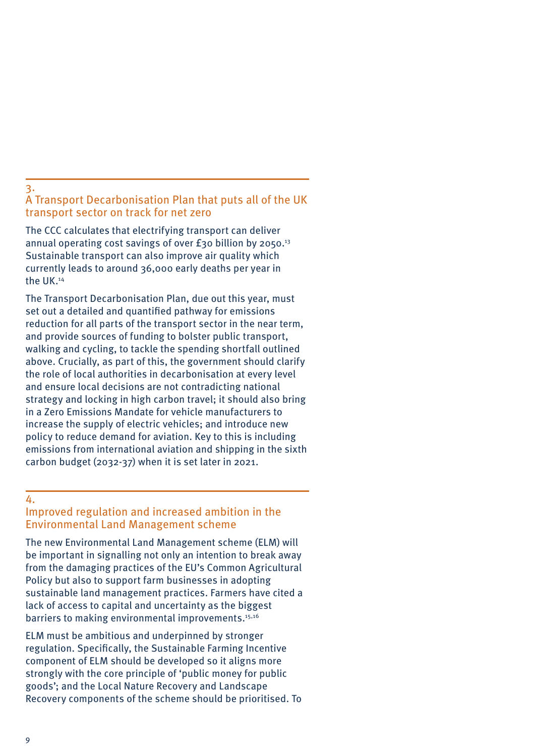#### <span id="page-8-0"></span>3.

### A Transport Decarbonisation Plan that puts all of the UK transport sector on track for net zero

The CCC calculates that electrifying transport can deliver annual operating cost savings of over  $f$ 30 billion by 2050.<sup>13</sup> Sustainable transport can also improve air quality which currently leads to around 36,000 early deaths per year in the UK.14

The Transport Decarbonisation Plan, due out this year, must set out a detailed and quantified pathway for emissions reduction for all parts of the transport sector in the near term, and provide sources of funding to bolster public transport, walking and cycling, to tackle the spending shortfall outlined above. Crucially, as part of this, the government should clarify the role of local authorities in decarbonisation at every level and ensure local decisions are not contradicting national strategy and locking in high carbon travel; it should also bring in a Zero Emissions Mandate for vehicle manufacturers to increase the supply of electric vehicles; and introduce new policy to reduce demand for aviation. Key to this is including emissions from international aviation and shipping in the sixth carbon budget (2032-37) when it is set later in 2021.

#### <span id="page-8-1"></span>4.

## Improved regulation and increased ambition in the Environmental Land Management scheme

The new Environmental Land Management scheme (ELM) will be important in signalling not only an intention to break away from the damaging practices of the EU's Common Agricultural Policy but also to support farm businesses in adopting sustainable land management practices. Farmers have cited a lack of access to capital and uncertainty as the biggest barriers to making environmental improvements.<sup>15,16</sup>

ELM must be ambitious and underpinned by stronger regulation. Specifically, the Sustainable Farming Incentive component of ELM should be developed so it aligns more strongly with the core principle of 'public money for public goods'; and the Local Nature Recovery and Landscape Recovery components of the scheme should be prioritised. To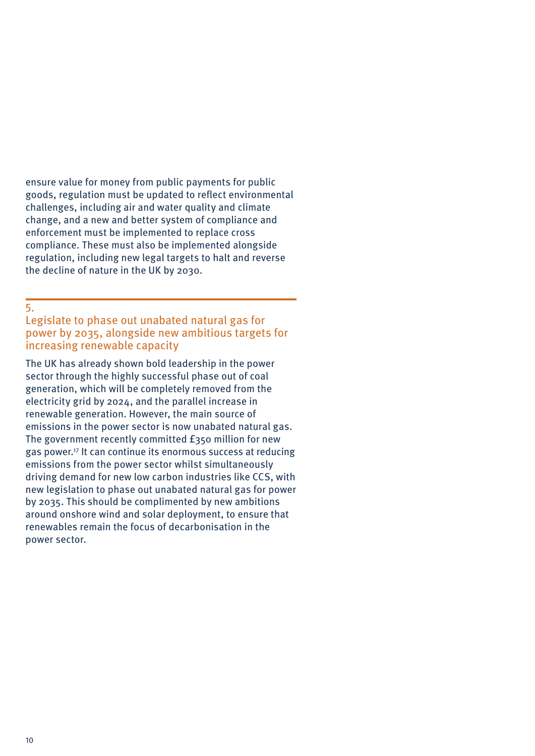ensure value for money from public payments for public goods, regulation must be updated to reflect environmental challenges, including air and water quality and climate change, and a new and better system of compliance and enforcement must be implemented to replace cross compliance. These must also be implemented alongside regulation, including new legal targets to halt and reverse the decline of nature in the UK by 2030.

<span id="page-9-0"></span>5.

Legislate to phase out unabated natural gas for power by 2035, alongside new ambitious targets for increasing renewable capacity

The UK has already shown bold leadership in the power sector through the highly successful phase out of coal generation, which will be completely removed from the electricity grid by 2024, and the parallel increase in renewable generation. However, the main source of emissions in the power sector is now unabated natural gas. The government recently committed £350 million for new gas power.17 It can continue its enormous success at reducing emissions from the power sector whilst simultaneously driving demand for new low carbon industries like CCS, with new legislation to phase out unabated natural gas for power by 2035. This should be complimented by new ambitions around onshore wind and solar deployment, to ensure that renewables remain the focus of decarbonisation in the power sector.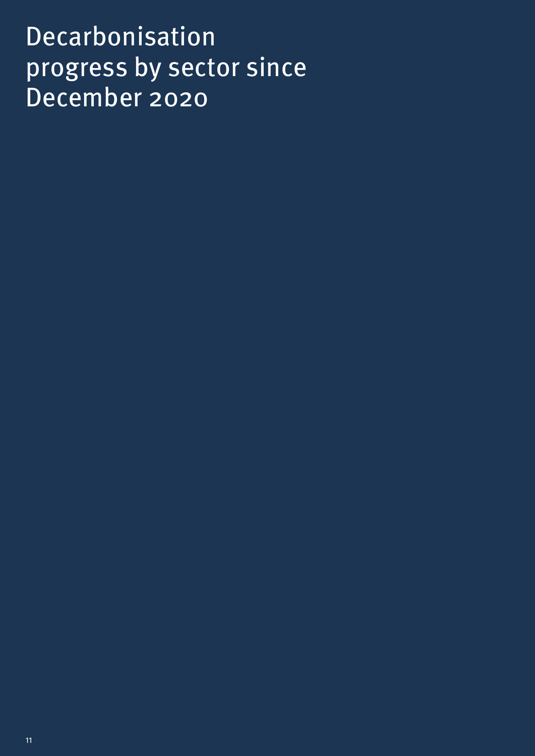# Decarbonisation progress by sector since December 2020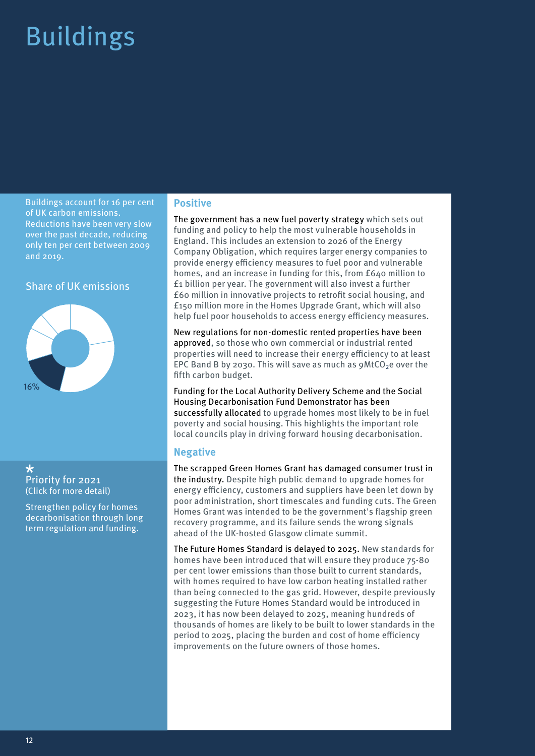# <span id="page-11-0"></span>Buildings

Buildings account for 16 per cent of UK carbon emissions. Reductions have been very slow over the past decade, reducing only ten per cent between 2009 and 2019.

#### Share of UK emissions



 $\star$ [Priority for 2021](#page-7-1) [\(Click for more detail\)](#page-7-1)

Strengthen policy for homes decarbonisation through long term regulation and funding.

#### **Positive**

The government has a new fuel poverty strategy which sets out funding and policy to help the most vulnerable households in England. This includes an extension to 2026 of the Energy Company Obligation, which requires larger energy companies to provide energy efficiency measures to fuel poor and vulnerable homes, and an increase in funding for this, from £640 million to £1 billion per year. The government will also invest a further £60 million in innovative projects to retrofit social housing, and £150 million more in the Homes Upgrade Grant, which will also help fuel poor households to access energy efficiency measures.

New regulations for non-domestic rented properties have been approved, so those who own commercial or industrial rented properties will need to increase their energy efficiency to at least EPC Band B by 2030. This will save as much as  $9$ MtCO<sub>2</sub>e over the fifth carbon budget.

Funding for the Local Authority Delivery Scheme and the Social Housing Decarbonisation Fund Demonstrator has been successfully allocated to upgrade homes most likely to be in fuel poverty and social housing. This highlights the important role local councils play in driving forward housing decarbonisation.

#### **Negative**

The scrapped Green Homes Grant has damaged consumer trust in the industry. Despite high public demand to upgrade homes for energy efficiency, customers and suppliers have been let down by poor administration, short timescales and funding cuts. The Green Homes Grant was intended to be the government's flagship green recovery programme, and its failure sends the wrong signals ahead of the UK-hosted Glasgow climate summit.

The Future Homes Standard is delayed to 2025. New standards for homes have been introduced that will ensure they produce 75-80 per cent lower emissions than those built to current standards, with homes required to have low carbon heating installed rather than being connected to the gas grid. However, despite previously suggesting the Future Homes Standard would be introduced in 2023, it has now been delayed to 2025, meaning hundreds of thousands of homes are likely to be built to lower standards in the period to 2025, placing the burden and cost of home efficiency improvements on the future owners of those homes.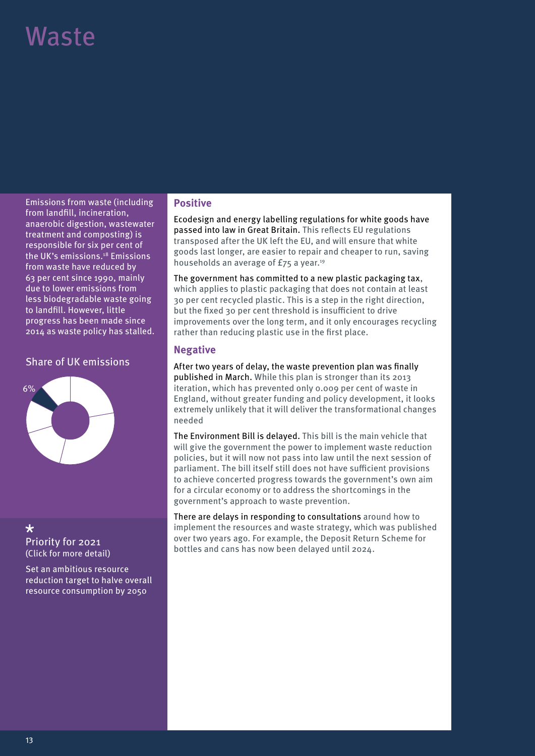# <span id="page-12-0"></span>Waste

Emissions from waste (including from landfill, incineration, anaerobic digestion, wastewater treatment and composting) is responsible for six per cent of the UK's emissions.18 Emissions from waste have reduced by 63 per cent since 1990, mainly due to lower emissions from less biodegradable waste going to landfill. However, little progress has been made since 2014 as waste policy has stalled.

#### Share of UK emissions



## $\star$

[Priority for 2021](#page-7-2) [\(Click for more detail\)](#page-7-2)

Set an ambitious resource reduction target to halve overall resource consumption by 2050

#### **Positive**

Ecodesign and energy labelling regulations for white goods have passed into law in Great Britain. This reflects EU regulations transposed after the UK left the EU, and will ensure that white goods last longer, are easier to repair and cheaper to run, saving households an average of £75 a year.<sup>19</sup>

The government has committed to a new plastic packaging tax, which applies to plastic packaging that does not contain at least 30 per cent recycled plastic. This is a step in the right direction, but the fixed 30 per cent threshold is insufficient to drive improvements over the long term, and it only encourages recycling rather than reducing plastic use in the first place.

### **Negative**

After two years of delay, the waste prevention plan was finally published in March. While this plan is stronger than its 2013 iteration, which has prevented only 0.009 per cent of waste in England, without greater funding and policy development, it looks extremely unlikely that it will deliver the transformational changes needed

The Environment Bill is delayed. This bill is the main vehicle that will give the government the power to implement waste reduction policies, but it will now not pass into law until the next session of parliament. The bill itself still does not have sufficient provisions to achieve concerted progress towards the government's own aim for a circular economy or to address the shortcomings in the government's approach to waste prevention.

There are delays in responding to consultations around how to implement the resources and waste strategy, which was published over two years ago. For example, the Deposit Return Scheme for bottles and cans has now been delayed until 2024.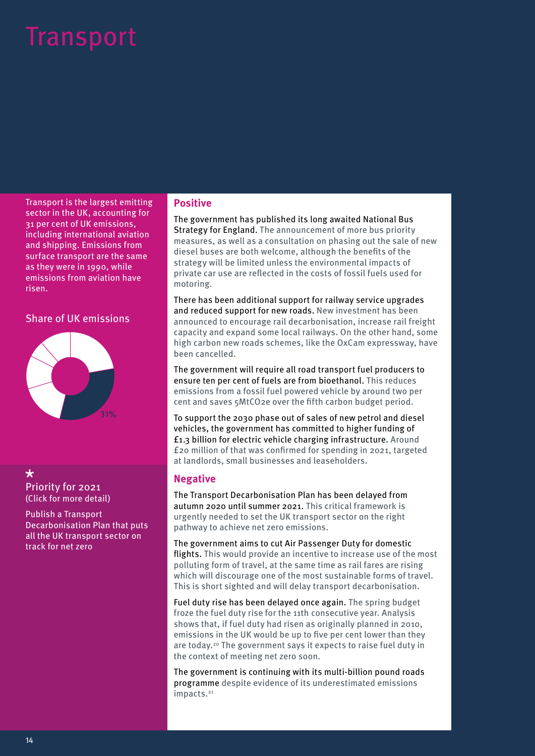# <span id="page-13-0"></span>Transport

Transport is the largest emitting sector in the UK, accounting for 31 per cent of UK emissions, including international aviation and shipping. Emissions from surface transport are the same as they were in 1990, while emissions from aviation have risen.

### Share of UK emissions



#### $\star$ [Priority for 2021](#page-8-0) [\(Click for more detail\)](#page-8-0)

Publish a Transport Decarbonisation Plan that puts all the UK transport sector on track for net zero

#### **Positive**

The government has published its long awaited National Bus Strategy for England. The announcement of more bus priority measures, as well as a consultation on phasing out the sale of new diesel buses are both welcome, although the benefits of the strategy will be limited unless the environmental impacts of private car use are reflected in the costs of fossil fuels used for motoring.

There has been additional support for railway service upgrades and reduced support for new roads. New investment has been announced to encourage rail decarbonisation, increase rail freight capacity and expand some local railways. On the other hand, some high carbon new roads schemes, like the OxCam expressway, have been cancelled.

The government will require all road transport fuel producers to ensure ten per cent of fuels are from bioethanol. This reduces emissions from a fossil fuel powered vehicle by around two per cent and saves 5MtCO2e over the fifth carbon budget period.

To support the 2030 phase out of sales of new petrol and diesel vehicles, the government has committed to higher funding of £1.3 billion for electric vehicle charging infrastructure. Around £20 million of that was confirmed for spending in 2021, targeted at landlords, small businesses and leaseholders.

### **Negative**

The Transport Decarbonisation Plan has been delayed from autumn 2020 until summer 2021. This critical framework is urgently needed to set the UK transport sector on the right pathway to achieve net zero emissions.

The government aims to cut Air Passenger Duty for domestic flights. This would provide an incentive to increase use of the most polluting form of travel, at the same time as rail fares are rising which will discourage one of the most sustainable forms of travel. This is short sighted and will delay transport decarbonisation.

Fuel duty rise has been delayed once again. The spring budget froze the fuel duty rise for the 11th consecutive year. Analysis shows that, if fuel duty had risen as originally planned in 2010, emissions in the UK would be up to five per cent lower than they are today.20 The government says it expects to raise fuel duty in the context of meeting net zero soon.

The government is continuing with its multi-billion pound roads programme despite evidence of its underestimated emissions impacts.<sup>21</sup>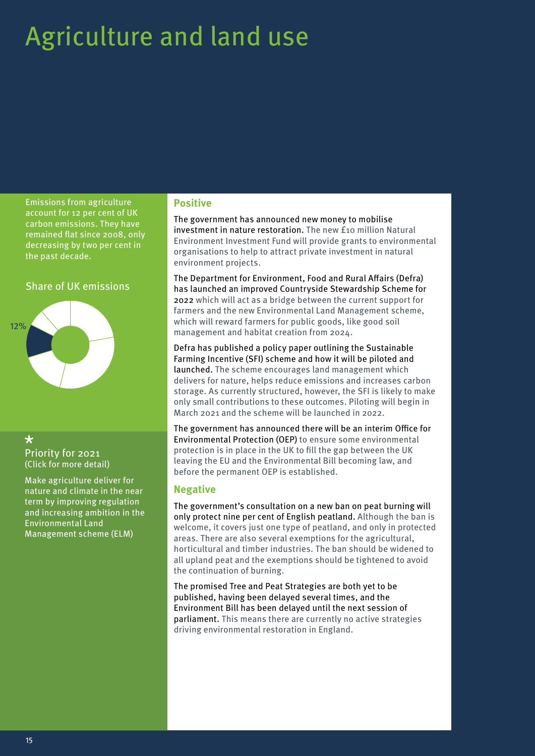# <span id="page-14-0"></span>Agriculture and land use

Emissions from agriculture account for 12 per cent of UK carbon emissions. They have remained flat since 2008, only decreasing by two per cent in the past decade.

#### Share of UK emissions



 $\star$ [Priority for 2021](#page-8-1) [\(Click for more detail\)](#page-8-1)

Make agriculture deliver for nature and climate in the near term by improving regulation and increasing ambition in the Environmental Land Management scheme (ELM)

#### **Positive**

The government has announced new money to mobilise investment in nature restoration. The new £10 million Natural Environment Investment Fund will provide grants to environmental organisations to help to attract private investment in natural environment projects.

The Department for Environment, Food and Rural Affairs (Defra) has launched an improved Countryside Stewardship Scheme for 2022 which will act as a bridge between the current support for farmers and the new Environmental Land Management scheme, which will reward farmers for public goods, like good soil management and habitat creation from 2024.

Defra has published a policy paper outlining the Sustainable Farming Incentive (SFI) scheme and how it will be piloted and launched. The scheme encourages land management which delivers for nature, helps reduce emissions and increases carbon storage. As currently structured, however, the SFI is likely to make only small contributions to these outcomes. Piloting will begin in March 2021 and the scheme will be launched in 2022.

The government has announced there will be an interim Office for Environmental Protection (OEP) to ensure some environmental protection is in place in the UK to fill the gap between the UK leaving the EU and the Environmental Bill becoming law, and before the permanent OEP is established.

#### **Negative**

The government's consultation on a new ban on peat burning will only protect nine per cent of English peatland. Although the ban is welcome, it covers just one type of peatland, and only in protected areas. There are also several exemptions for the agricultural, horticultural and timber industries. The ban should be widened to all upland peat and the exemptions should be tightened to avoid the continuation of burning.

The promised Tree and Peat Strategies are both yet to be published, having been delayed several times, and the Environment Bill has been delayed until the next session of parliament. This means there are currently no active strategies driving environmental restoration in England.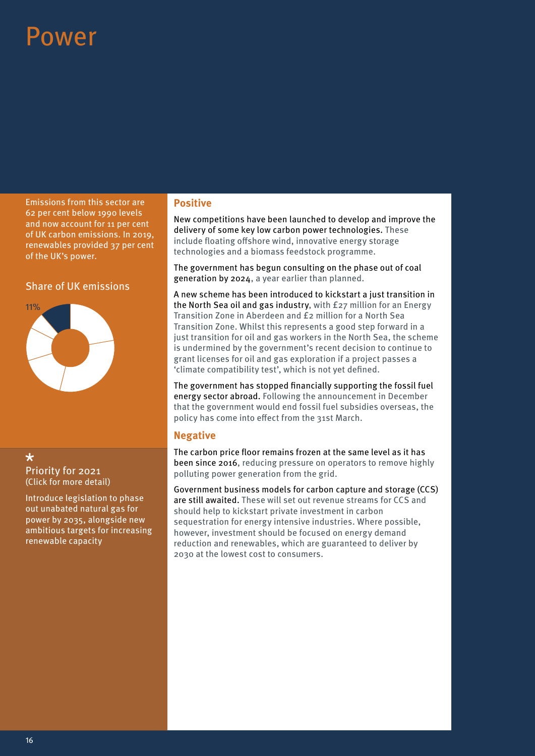# <span id="page-15-0"></span>OWAr

Emissions from this sector are 62 per cent below 1990 levels and now account for 11 per cent of UK carbon emissions. In 2019, renewables provided 37 per cent of the UK's power.

### Share of UK emissions



#### $\star$ [Priority for 2021](#page-9-0) [\(Click for more detail\)](#page-9-0)

Introduce legislation to phase out unabated natural gas for power by 2035, alongside new ambitious targets for increasing renewable capacity

#### **Positive**

New competitions have been launched to develop and improve the delivery of some key low carbon power technologies. These include floating offshore wind, innovative energy storage technologies and a biomass feedstock programme.

The government has begun consulting on the phase out of coal generation by 2024, a year earlier than planned.

A new scheme has been introduced to kickstart a just transition in the North Sea oil and gas industry, with £27 million for an Energy Transition Zone in Aberdeen and £2 million for a North Sea Transition Zone. Whilst this represents a good step forward in a just transition for oil and gas workers in the North Sea, the scheme is undermined by the government's recent decision to continue to grant licenses for oil and gas exploration if a project passes a 'climate compatibility test', which is not yet defined.

The government has stopped financially supporting the fossil fuel energy sector abroad. Following the announcement in December that the government would end fossil fuel subsidies overseas, the policy has come into effect from the 31st March.

#### **Negative**

The carbon price floor remains frozen at the same level as it has been since 2016, reducing pressure on operators to remove highly polluting power generation from the grid.

Government business models for carbon capture and storage (CCS) are still awaited. These will set out revenue streams for CCS and should help to kickstart private investment in carbon sequestration for energy intensive industries. Where possible, however, investment should be focused on energy demand reduction and renewables, which are guaranteed to deliver by 2030 at the lowest cost to consumers.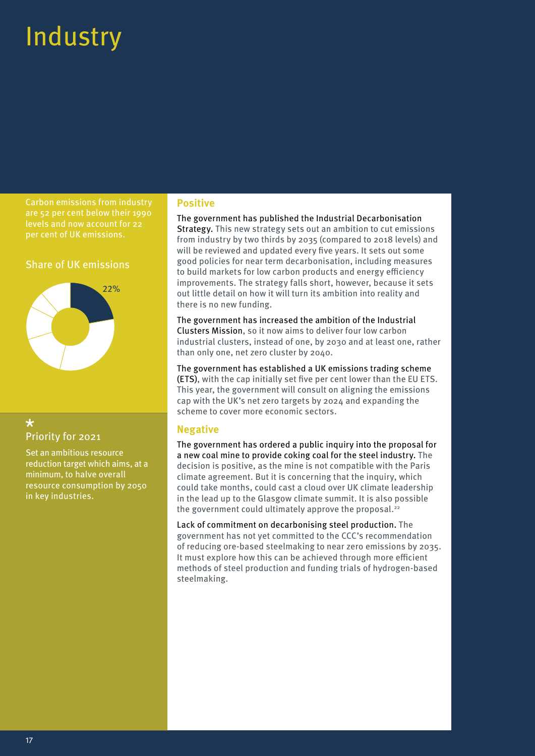# <span id="page-16-0"></span>**Industry**

Carbon emissions from industry are 52 per cent below their 1990 levels and now account for 22 per cent of UK emissions.

#### Share of UK emissions



## $\star$ Priority for 2021

Set an ambitious resource reduction target which aims, at a minimum, to halve overall resource consumption by 2050 in key industries.

#### **Positive**

The government has published the Industrial Decarbonisation Strategy. This new strategy sets out an ambition to cut emissions from industry by two thirds by 2035 (compared to 2018 levels) and will be reviewed and updated every five years. It sets out some good policies for near term decarbonisation, including measures to build markets for low carbon products and energy efficiency improvements. The strategy falls short, however, because it sets out little detail on how it will turn its ambition into reality and there is no new funding.

The government has increased the ambition of the Industrial Clusters Mission, so it now aims to deliver four low carbon industrial clusters, instead of one, by 2030 and at least one, rather than only one, net zero cluster by 2040.

The government has established a UK emissions trading scheme (ETS), with the cap initially set five per cent lower than the EU ETS. This year, the government will consult on aligning the emissions cap with the UK's net zero targets by 2024 and expanding the scheme to cover more economic sectors.

### **Negative**

The government has ordered a public inquiry into the proposal for a new coal mine to provide coking coal for the steel industry. The decision is positive, as the mine is not compatible with the Paris climate agreement. But it is concerning that the inquiry, which could take months, could cast a cloud over UK climate leadership in the lead up to the Glasgow climate summit. It is also possible the government could ultimately approve the proposal. $22$ 

Lack of commitment on decarbonising steel production. The government has not yet committed to the CCC's recommendation of reducing ore-based steelmaking to near zero emissions by 2035. It must explore how this can be achieved through more efficient methods of steel production and funding trials of hydrogen-based steelmaking.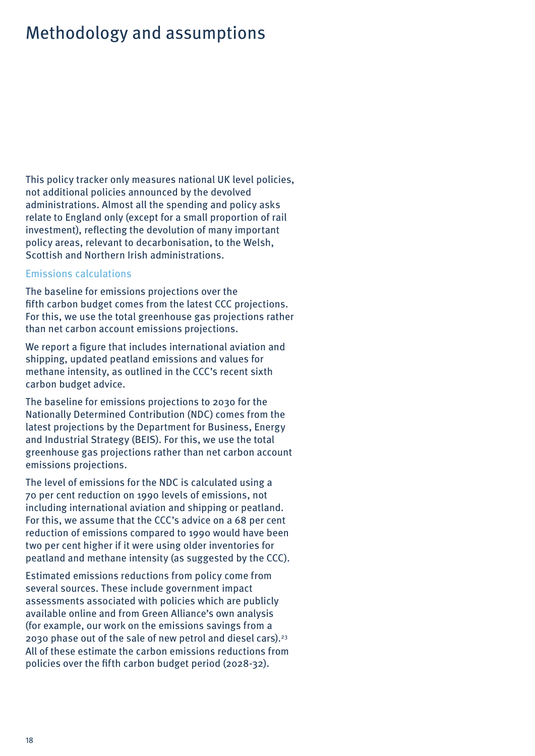# <span id="page-17-0"></span>Methodology and assumptions

This policy tracker only measures national UK level policies, not additional policies announced by the devolved administrations. Almost all the spending and policy asks relate to England only (except for a small proportion of rail investment), reflecting the devolution of many important policy areas, relevant to decarbonisation, to the Welsh, Scottish and Northern Irish administrations.

#### Emissions calculations

The baseline for emissions projections over the fifth carbon budget comes from the latest CCC projections. For this, we use the total greenhouse gas projections rather than net carbon account emissions projections.

We report a figure that includes international aviation and shipping, updated peatland emissions and values for methane intensity, as outlined in the CCC's recent sixth carbon budget advice.

The baseline for emissions projections to 2030 for the Nationally Determined Contribution (NDC) comes from the latest projections by the Department for Business, Energy and Industrial Strategy (BEIS). For this, we use the total greenhouse gas projections rather than net carbon account emissions projections.

The level of emissions for the NDC is calculated using a 70 per cent reduction on 1990 levels of emissions, not including international aviation and shipping or peatland. For this, we assume that the CCC's advice on a 68 per cent reduction of emissions compared to 1990 would have been two per cent higher if it were using older inventories for peatland and methane intensity (as suggested by the CCC).

Estimated emissions reductions from policy come from several sources. These include government impact assessments associated with policies which are publicly available online and from Green Alliance's own analysis (for example, our work on the emissions savings from a 2030 phase out of the sale of new petrol and diesel cars).23 All of these estimate the carbon emissions reductions from policies over the fifth carbon budget period (2028-32).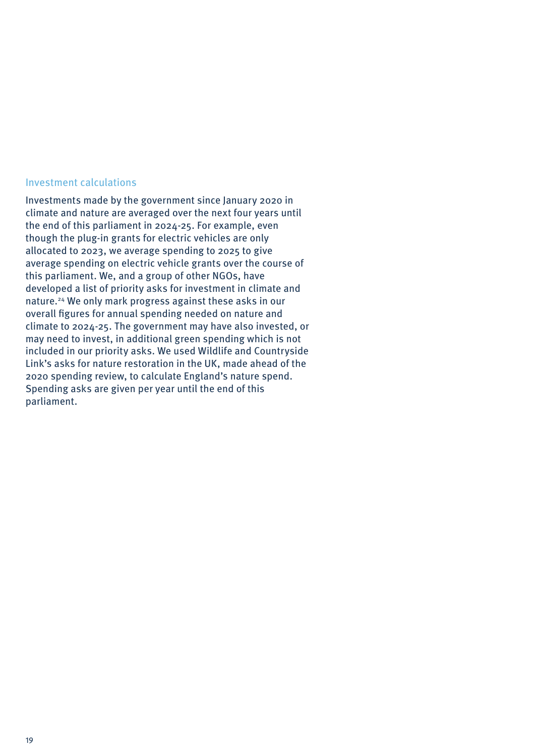#### Investment calculations

Investments made by the government since January 2020 in climate and nature are averaged over the next four years until the end of this parliament in 2024-25. For example, even though the plug-in grants for electric vehicles are only allocated to 2023, we average spending to 2025 to give average spending on electric vehicle grants over the course of this parliament. We, and a group of other NGOs, have developed a list of priority asks for investment in climate and nature.24 We only mark progress against these asks in our overall figures for annual spending needed on nature and climate to 2024-25. The government may have also invested, or may need to invest, in additional green spending which is not included in our priority asks. We used Wildlife and Countryside Link's asks for nature restoration in the UK, made ahead of the 2020 spending review, to calculate England's nature spend. Spending asks are given per year until the end of this parliament.